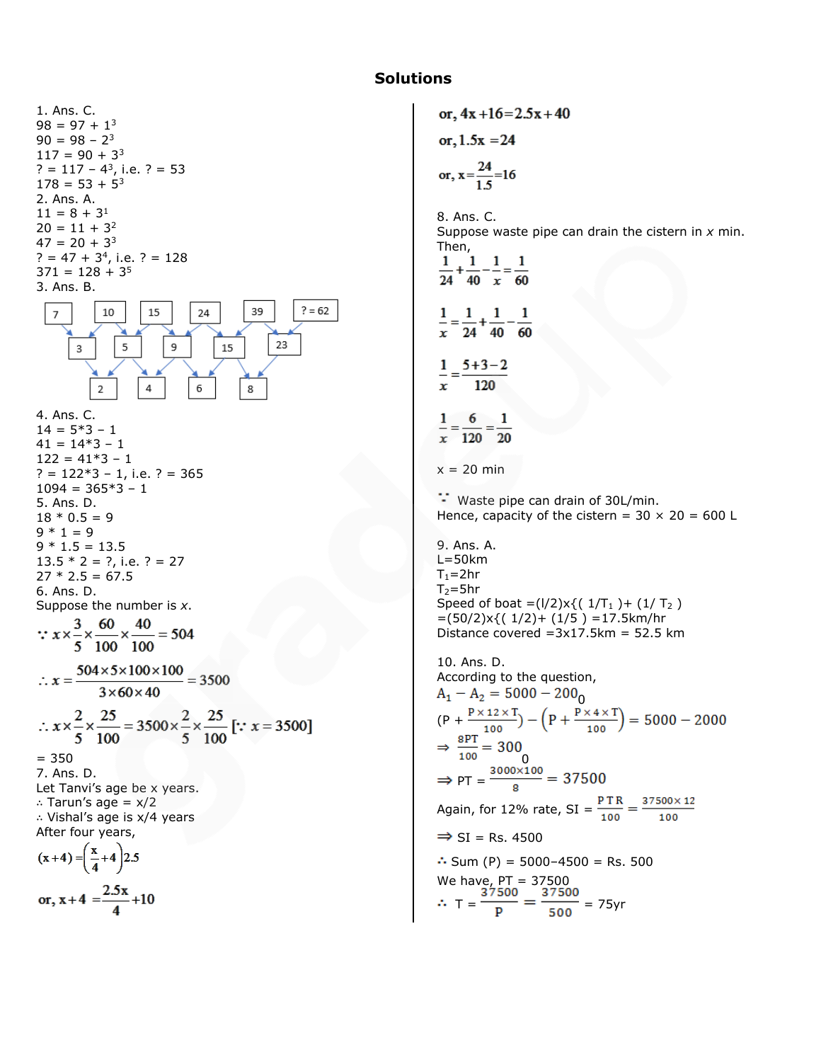# **Solutions**

1. Ans. C.  $98 = 97 + 1^3$  $90 = 98 - 2^3$  $117 = 90 + 3<sup>3</sup>$  $? = 117 - 4^3$ , i.e.  $? = 53$  $178 = 53 + 5^3$ 2. Ans. A.  $11 = 8 + 3<sup>1</sup>$  $20 = 11 + 3^2$  $47 = 20 + 3<sup>3</sup>$  $? = 47 + 3<sup>4</sup>$ , i.e.  $? = 128$  $371 = 128 + 3^5$ 3. Ans. B.  $? = 62$ 10 15 24 39  $\overline{7}$ 23 3 5 9 15  $\overline{2}$  $\overline{4}$ 6 8 4. Ans. C.  $14 = 5*3 - 1$  $41 = 14*3 - 1$  $122 = 41*3 - 1$  $? = 122*3 - 1$ , i.e. ? = 365  $1094 = 365*3 - 1$ 5. Ans. D.  $18 * 0.5 = 9$  $9 * 1 = 9$  $9 * 1.5 = 13.5$  $13.5 * 2 = ?$ , i.e. ? = 27  $27 * 2.5 = 67.5$ 6. Ans. D. Suppose the number is *x*. ∴  $x \times \frac{3}{5} \times \frac{60}{100} \times \frac{40}{100} = 504$  $\therefore x = \frac{504 \times 5 \times 100 \times 100}{3 \times 60 \times 40} = 3500$  $\therefore x \times \frac{2}{5} \times \frac{25}{100} = 3500 \times \frac{2}{5} \times \frac{25}{100} \; [:: x = 3500]$ = 350 7. Ans. D. Let Tanvi's age be x years. ∴ Tarun's age = x/2 ∴ Vishal's age is x/4 years After four years,  $(x+4) = \left(\frac{x}{4}+4\right)2.5$ or,  $x + 4 = \frac{2.5x}{4} + 10$ 

or,  $4x + 16 = 2.5x + 40$ or,  $1.5x = 24$ <br>or,  $x = \frac{24}{1.5} = 16$ 8. Ans. C. Suppose waste pipe can drain the cistern in *x* min. Then,  $\frac{1}{24} + \frac{1}{40} - \frac{1}{x} = \frac{1}{60}$  $\frac{1}{x} = \frac{1}{24} + \frac{1}{40} - \frac{1}{60}$  $\frac{1}{x} = \frac{5+3-2}{120}$  $\frac{1}{x} = \frac{6}{120} = \frac{1}{20}$  $x = 20$  min Waste pipe can drain of 30L/min. Hence, capacity of the cistern =  $30 \times 20 = 600$  L 9. Ans. A.  $L=50$ km  $T_1=2hr$  $T_2$ =5hr Speed of boat =( $1/2$ )x{(  $1/T_1$  )+ ( $1/T_2$ )  $=(50/2)x$ { $(1/2)+(1/5)$  = 17.5km/hr Distance covered  $=3x17.5km = 52.5 km$ 10. Ans. D. According to the question, 0 (P + 0  $\Rightarrow$  PT =  $\frac{3000 \times 100}{8}$  = 37500 Again, for 12% rate, SI =  $\frac{PTR}{100} = \frac{37500 \times 12}{100}$  $\Rightarrow$  SI = Rs. 4500  $\therefore$  Sum (P) = 5000-4500 = Rs. 500 We have, PT = 37500  $T = \frac{1}{R} = \frac{1}{R} = 75$ yr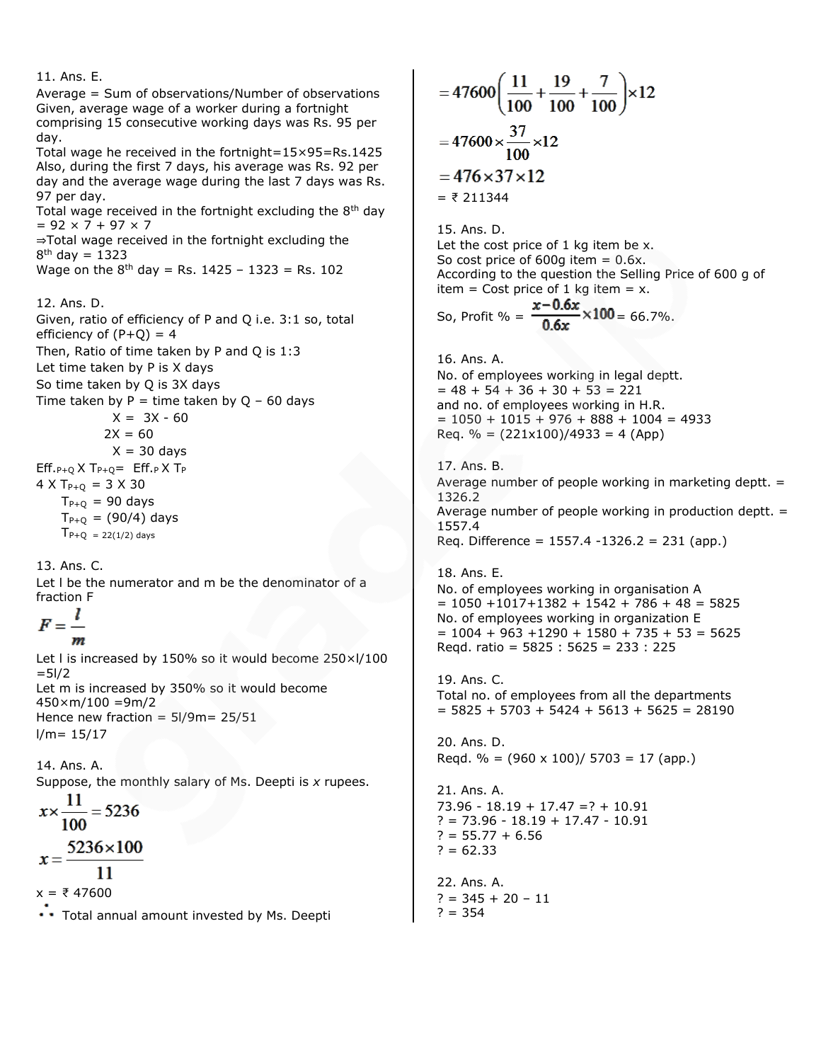11. Ans. E. Average = Sum of observations/Number of observations Given, average wage of a worker during a fortnight comprising 15 consecutive working days was Rs. 95 per day. Total wage he received in the fortnight=15×95=Rs.1425 Also, during the first 7 days, his average was Rs. 92 per day and the average wage during the last 7 days was Rs. 97 per day. Total wage received in the fortnight excluding the  $8<sup>th</sup>$  day  $= 92 \times 7 + 97 \times 7$ ⇒Total wage received in the fortnight excluding the 8<sup>th</sup> day = 1323 Wage on the  $8^{th}$  day = Rs. 1425 - 1323 = Rs. 102 12. Ans. D. Given, ratio of efficiency of P and Q i.e. 3:1 so, total efficiency of  $(P+Q) = 4$ Then, Ratio of time taken by P and Q is 1:3 Let time taken by P is X days So time taken by Q is 3X days Time taken by  $P =$  time taken by  $Q - 60$  days  $X = 3X - 60$  $2X = 60$  $X = 30$  days  $Eff._P+Q$  X T<sub>P+Q</sub> =  $Eff._P$  X T<sub>P</sub>  $4 \times T_{P+O} = 3 \times 30$  $T_{P+Q}$  = 90 days  $T_{P+Q} = (90/4)$  days  $T_{P+Q} = 22(1/2)$  days 13. Ans. C. Let l be the numerator and m be the denominator of a fraction F ı m Let I is increased by 150% so it would become 250×I/100  $=$  5 $1/2$ Let m is increased by 350% so it would become  $450 \times m/100 = 9m/2$ Hence new fraction =  $5I/9m = 25/51$  $l/m = 15/17$ 14. Ans. A. Suppose, the monthly salary of Ms. Deepti is *x* rupees.  $x \times \frac{11}{100} = 5236$ 5236×100  $11$  $x = ₹ 47600$ \* \* Total annual amount invested by Ms. Deepti

 $=47600\left(\frac{11}{100}+\frac{19}{100}+\frac{7}{100}\right)\times 12$  $=47600\times\frac{37}{100}\times12$  $=476\times37\times12$  $=$  ₹ 211344 15. Ans. D. Let the cost price of 1 kg item be x. So cost price of  $600g$  item =  $0.6x$ . According to the question the Selling Price of 600 g of item = Cost price of 1 kg item =  $x$ . So, Profit % =  $\frac{x-0.6x}{0.6x} \times 100 = 66.7\%$ . 16. Ans. A. No. of employees working in legal deptt.  $= 48 + 54 + 36 + 30 + 53 = 221$ and no. of employees working in H.R.  $= 1050 + 1015 + 976 + 888 + 1004 = 4933$ Req. % =  $(221x100)/4933 = 4$  (App) 17. Ans. B. Average number of people working in marketing deptt. = 1326.2 Average number of people working in production deptt.  $=$ 1557.4 Req. Difference = 1557.4 -1326.2 = 231 (app.) 18. Ans. E. No. of employees working in organisation A  $= 1050 + 1017 + 1382 + 1542 + 786 + 48 = 5825$ No. of employees working in organization E  $= 1004 + 963 + 1290 + 1580 + 735 + 53 = 5625$ Reqd. ratio = 5825 : 5625 = 233 : 225 19. Ans. C. Total no. of employees from all the departments  $= 5825 + 5703 + 5424 + 5613 + 5625 = 28190$ 20. Ans. D. Regd.  $\% = (960 \times 100)/5703 = 17$  (app.) 21. Ans. A. 73.96 - 18.19 + 17.47 =? + 10.91  $? = 73.96 - 18.19 + 17.47 - 10.91$  $? = 55.77 + 6.56$  $? = 62.33$ 22. Ans. A. ? = 345 + 20 – 11  $? = 354$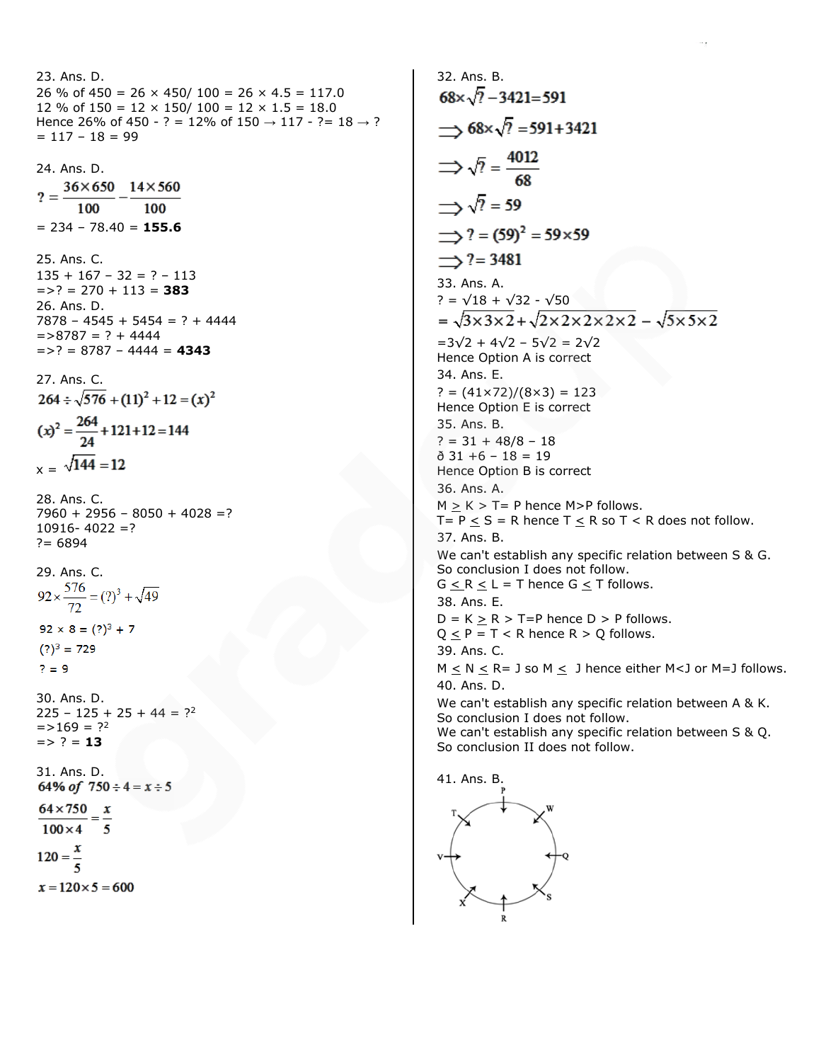```
23. Ans. D.
26 % of 450 = 26 \times 450/ 100 = 26 \times 4.5 = 117.0
12 % of 150 = 12 \times 150/100 = 12 \times 1.5 = 18.0Hence 26% of 450 - ? = 12% of 150 \rightarrow 117 - ?= 18 \rightarrow ?
= 117 - 18 = 9924. Ans. D.<br>? = \frac{36 \times 650}{2} - 14 \times 560100
                     100
= 234 – 78.40 = 155.6
25. Ans. C.
135 + 167 - 32 = ? - 113= >? = 270 + 113 = 383
26. Ans. D.
7878 - 4545 + 5454 = ? + 4444= > 8787 = ? + 4444
= >? = 8787 - 4444 = 4343
27. Ans. C.
264 \div \sqrt{576} + (11)^2 + 12 = (x)^2(x)^2 = \frac{264}{24} + 121 + 12 = 144x = \sqrt{144} = 1228. Ans. C.
7960 + 2956 - 8050 + 4028 = ?10916 - 4022 = ?? = 689429. Ans. C.
92 \times \frac{576}{72} = (?)^3 + \sqrt{49}92 \times 8 = (?)^3 + 7(?)<sup>3</sup> = 729? = 930. Ans. D.
225 - 125 + 25 + 44 = ?^2= > 169 = ?<sup>2</sup>
= > ? = 13
31. Ans. D.
64% of 750 \div 4 = x \div 5\frac{64 \times 750}{2} = \frac{x}{2}100 \times 4 = 5120 = 1x = 120 \times 5 = 600
```

```
32. Ans. B.
68 \times \sqrt{7} - 3421 = 591\rightarrow 68×\sqrt{?} = 591+3421
\Rightarrow \sqrt{?} = \frac{4012}{68}\Rightarrow \sqrt{?} = 59\implies? = (59)<sup>2</sup> = 59×59
\Rightarrow ? = 3481
33. Ans. A.
? = \sqrt{18} + \sqrt{32} - \sqrt{50}<br>= \sqrt{3 \times 3 \times 2} + \sqrt{2 \times 2 \times 2 \times 2} - \sqrt{5 \times 5 \times 2}=3√2 + 4√2 – 5√2 = 2√2
Hence Option A is correct
34. Ans. E.
? = (41 \times 72)/(8 \times 3) = 123Hence Option E is correct
35. Ans. B.
? = 31 + 48/8 - 18\delta 31 +6 - 18 = 19
Hence Option B is correct
36. Ans. A.
M > K > T = P hence M>P follows.
T = P < S = R hence T < R so T < R does not follow.
37. Ans. B.
We can't establish any specific relation between S & G. 
So conclusion I does not follow.
G < R < L = T hence G < T follows.
38. Ans. E.
D = K > R > T = P hence D > P follows.
Q < P = T < R hence R > Q follows.
39. Ans. C.
M \le N \le R = 3 so M \le 3 hence either M<3 or M=3 follows.
40. Ans. D.
We can't establish any specific relation between A & K. 
So conclusion I does not follow.
We can't establish any specific relation between S & Q. 
So conclusion II does not follow.
41. Ans. B.
```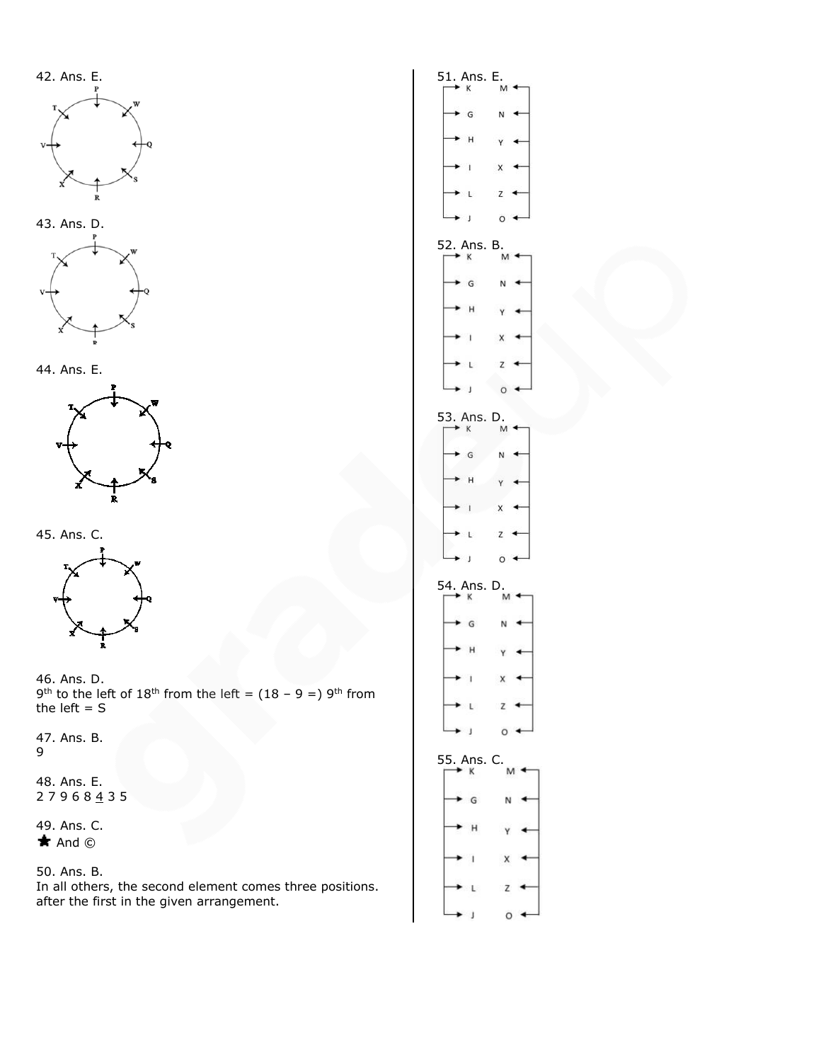









45. Ans. C.



46. Ans. D. 9<sup>th</sup> to the left of 18<sup>th</sup> from the left =  $(18 - 9 =)$  9<sup>th</sup> from the left  $= S$ 

47. Ans. B. 9

48. Ans. E. 2 7 9 6 8 <u>4</u> 3 5

49. Ans. C.  $\star$  And  $\odot$ 

## 50. Ans. B.

In all others, the second element comes three positions. after the first in the given arrangement.

| 51. A<br>к              | ns. E.<br>$\frac{1}{M}$   |
|-------------------------|---------------------------|
| $\bullet$ G             | N                         |
| $H$ .                   | $\mathsf{Y}$              |
| $-1$                    | $\boldsymbol{\mathsf{x}}$ |
| $\mathsf{L}$            | Z                         |
| $\bullet$               | $\circ$                   |
| 52. Ans. B.<br>κ        | M                         |
| G                       | $\mathbb N$               |
| · H                     | $\mathsf{Y}$              |
| $\cdot$ 1               | $\mathsf{x}$              |
| $\mathsf{L}$            | Z                         |
| $\overline{ }$          | $\circ$                   |
| 53. Ans. D.<br>K        | M                         |
| $\bullet$ G             | N                         |
| $+$ H                   | Y.                        |
| $\blacksquare$          | $\mathsf X$               |
| L Z                     |                           |
| $\bullet$               | $\circ$                   |
| 54. Ans. D.<br>$\kappa$ | M                         |
| $\cdot$ G               | N                         |
| · H                     | ×                         |
| $\rightarrow$ 1         | $x +$                     |
| $\cdot$ L Z             |                           |
| $\cdot$ J               | $\circ$ .                 |
| 5. Ans. C.<br>$\kappa$  | M                         |
| $\cdot$ G               | N                         |
| $\cdot$ H               | $\mathsf{Y}$              |
| $\cdot$ 1               | $\mathsf X$               |
| $\mathsf{L}$            | Z                         |
|                         |                           |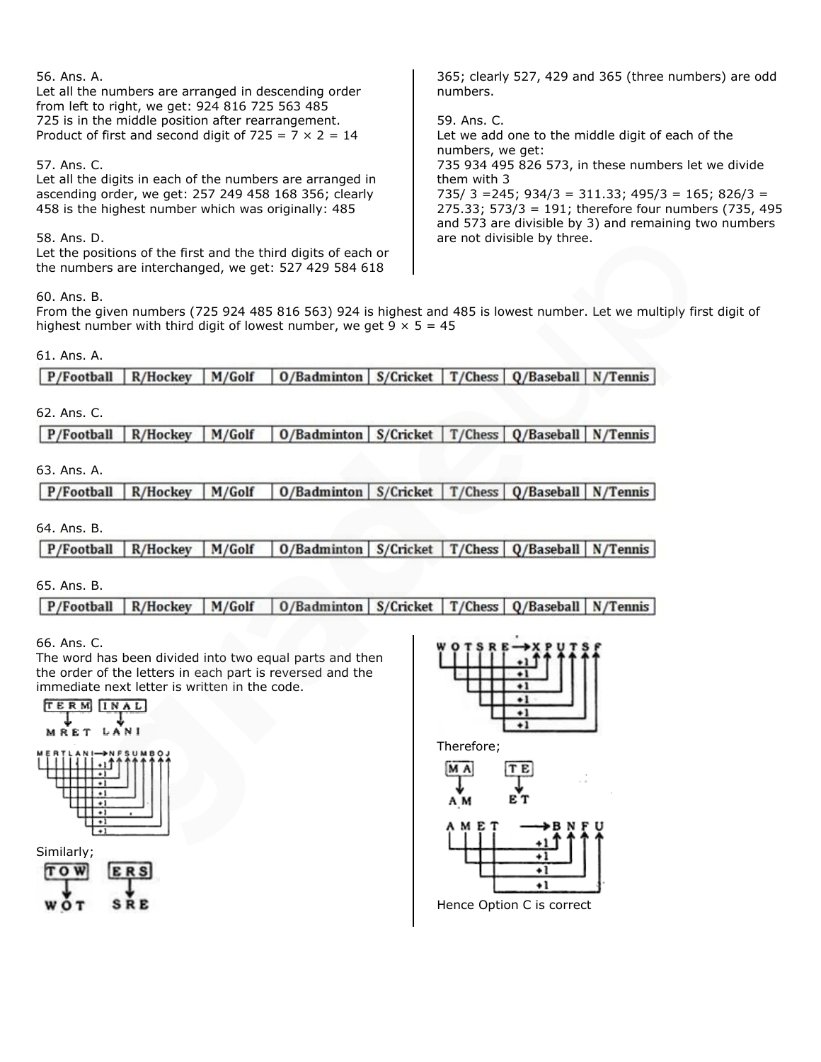| 56. Ans. A.<br>Let all the numbers are arranged in descending order<br>from left to right, we get: 924 816 725 563 485 | 365; clearly 527, 429 and 365 (three numbers) are odd<br>numbers.                                              |
|------------------------------------------------------------------------------------------------------------------------|----------------------------------------------------------------------------------------------------------------|
| 725 is in the middle position after rearrangement.                                                                     | 59. Ans. C.                                                                                                    |
| Product of first and second digit of $725 = 7 \times 2 = 14$                                                           | Let we add one to the middle digit of each of the<br>numbers, we get:                                          |
| 57. Ans. C.                                                                                                            | 735 934 495 826 573, in these numbers let we divide                                                            |
| Let all the digits in each of the numbers are arranged in                                                              | them with 3                                                                                                    |
| ascending order, we get: 257 249 458 168 356; clearly                                                                  | $735/3 = 245$ ; $934/3 = 311.33$ ; $495/3 = 165$ ; $826/3 =$                                                   |
| 458 is the highest number which was originally: 485                                                                    | 275.33; 573/3 = 191; therefore four numbers (735, 495<br>and 573 are divisible by 3) and remaining two numbers |
| 58. Ans. D.                                                                                                            | are not divisible by three.                                                                                    |
| Let the positions of the first and the third digits of each or                                                         |                                                                                                                |
| the numbers are interchanged, we get: 527 429 584 618                                                                  |                                                                                                                |

60. Ans. B.

From the given numbers (725 924 485 816 563) 924 is highest and 485 is lowest number. Let we multiply first digit of highest number with third digit of lowest number, we get  $9 \times 5 = 45$ 

## 61. Ans. A.

# 62. Ans. C.

P/Football R/Hockey M/Golf 0/Badminton S/Cricket T/Chess Q/Baseball N/Tennis

# 63. Ans. A.

0/Badminton S/Cricket T/Chess Q/Baseball N/Tennis P/Football R/Hockey M/Golf

# 64. Ans. B.

P/Football M/Golf 0/Badminton S/Cricket T/Chess 0/Baseball N/Tennis R/Hockey

# 65. Ans. B.

P/Football R/Hockey M/Golf 0/Badminton S/Cricket T/Chess Q/Baseball  $N/T$ ennis

66. Ans. C.

The word has been divided into two equal parts and then the order of the letters in each part is reversed and the immediate next letter is written in the code.

the numbers are interchanged, we get: 527 429 584 618







Therefore;

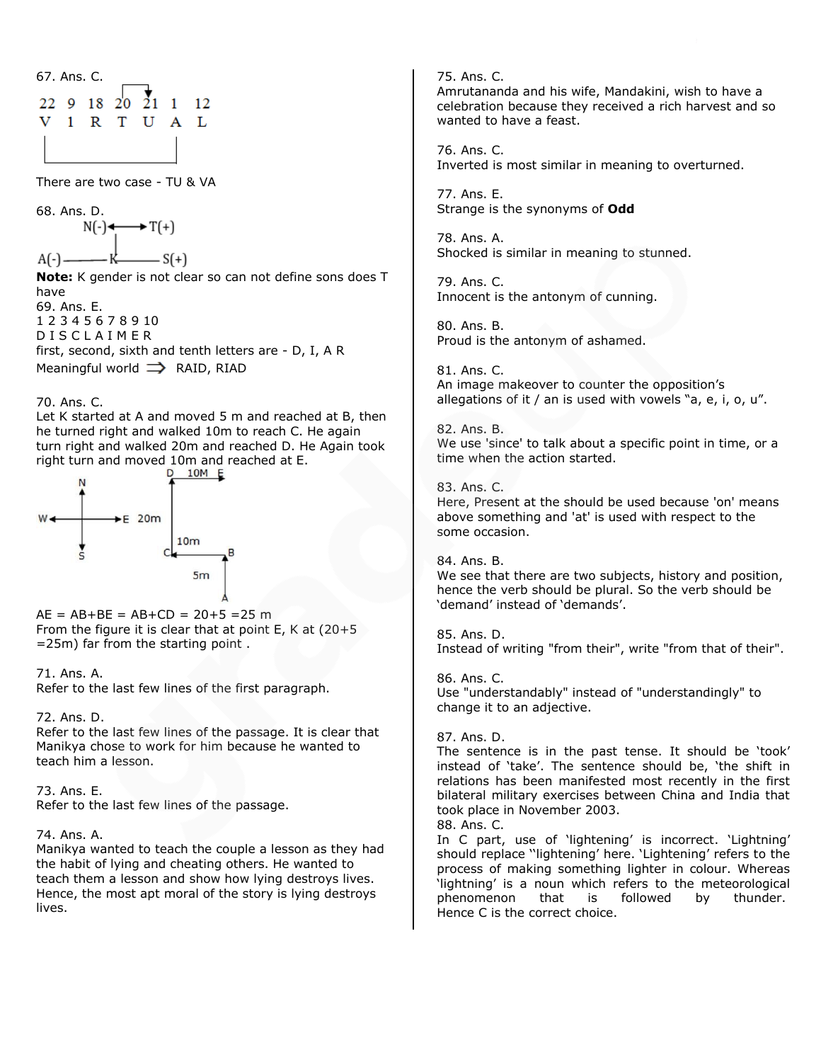| 67. Ans. C. |  |  |                                 |  |   |    |  |  |  |
|-------------|--|--|---------------------------------|--|---|----|--|--|--|
|             |  |  | 22 9 18 20 $\overline{2}1$ 1 12 |  |   |    |  |  |  |
|             |  |  | 1 R T U                         |  | A | Т. |  |  |  |
|             |  |  |                                 |  |   |    |  |  |  |

There are two case - TU & VA

68. Ans. D.  $N(-) \leftarrow \longrightarrow T(+)$  $A(-)$ — K——— S(+)

**Note:** K gender is not clear so can not define sons does T have 69. Ans. E. 1 2 3 4 5 6 7 8 9 10 D I S C L A I M E R first, second, sixth and tenth letters are - D, I, A R

Meaningful world  $\implies$  RAID, RIAD

#### 70. Ans. C.

Let K started at A and moved 5 m and reached at B, then he turned right and walked 10m to reach C. He again turn right and walked 20m and reached D. He Again took right turn and moved 10m and reached at E.<br> $0.10M$  E



 $AE = AB + BE = AB + CD = 20 + 5 = 25 m$ From the figure it is clear that at point E, K at (20+5 =25m) far from the starting point .

#### 71. Ans. A.

Refer to the last few lines of the first paragraph.

#### 72. Ans. D.

Refer to the last few lines of the passage. It is clear that Manikya chose to work for him because he wanted to teach him a lesson.

# 73. Ans. E.

Refer to the last few lines of the passage.

# 74. Ans. A.

Manikya wanted to teach the couple a lesson as they had the habit of lying and cheating others. He wanted to teach them a lesson and show how lying destroys lives. Hence, the most apt moral of the story is lying destroys lives.

75. Ans. C. Amrutananda and his wife, Mandakini, wish to have a celebration because they received a rich harvest and so wanted to have a feast.

76. Ans. C. Inverted is most similar in meaning to overturned.

77. Ans. E. Strange is the synonyms of **Odd**

78. Ans. A. Shocked is similar in meaning to stunned.

79. Ans. C. Innocent is the antonym of cunning.

80. Ans. B. Proud is the antonym of ashamed.

81. Ans. C. An image makeover to counter the opposition's allegations of it / an is used with vowels "a, e, i, o, u".

82. Ans. B. We use 'since' to talk about a specific point in time, or a time when the action started.

83. Ans. C. Here, Present at the should be used because 'on' means above something and 'at' is used with respect to the some occasion.

84. Ans. B. We see that there are two subjects, history and position, hence the verb should be plural. So the verb should be 'demand' instead of 'demands'.

85. Ans. D. Instead of writing "from their", write "from that of their".

86. Ans. C. Use "understandably" instead of "understandingly" to change it to an adjective.

#### 87. Ans. D.

The sentence is in the past tense. It should be 'took' instead of 'take'. The sentence should be, 'the shift in relations has been manifested most recently in the first bilateral military exercises between China and India that took place in November 2003.

88. Ans. C.

In C part, use of 'lightening' is incorrect. 'Lightning' should replace ''lightening' here. 'Lightening' refers to the process of making something lighter in colour. Whereas 'lightning' is a noun which refers to the meteorological phenomenon that is followed by thunder. Hence C is the correct choice.